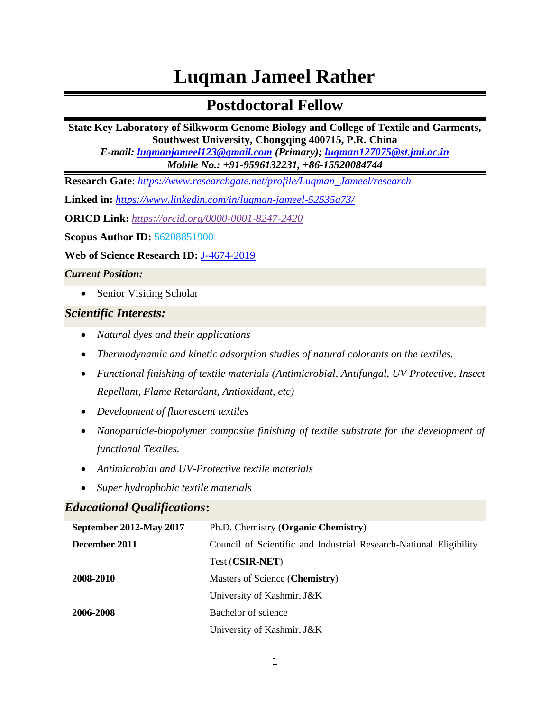# **Luqman Jameel Rather**

# **Postdoctoral Fellow**

**State Key Laboratory of Silkworm Genome Biology and College of Textile and Garments, Southwest University, Chongqing 400715, P.R. China**

*E-mail: [luqmanjameel123@gmail.com](mailto:luqmanjameel123@gmail.com) (Primary); [luqman127075@st.jmi.ac.in](mailto:luqman127075@st.jmi.ac.in) Mobile No.: +91-9596132231, +86-15520084744*

**Research Gate**: *[https://www.researchgate.net/profile/Luqman\\_Jameel/research](https://www.researchgate.net/profile/Luqman_Jameel/research)*

**Linked in:** *<https://www.linkedin.com/in/luqman-jameel-52535a73/>*

**ORICD Link:** *<https://orcid.org/0000-0001-8247-2420>*

**Scopus Author ID:** 56208851900

**Web of Science Research ID:** [J-4674-2019](https://publons.com/researcher/J-4674-2019/)

*Current Position:*

• Senior Visiting Scholar

#### *Scientific Interests:*

- *Natural dyes and their applications*
- *Thermodynamic and kinetic adsorption studies of natural colorants on the textiles.*
- *Functional finishing of textile materials (Antimicrobial, Antifungal, UV Protective, Insect Repellant, Flame Retardant, Antioxidant, etc)*
- *Development of fluorescent textiles*
- *Nanoparticle-biopolymer composite finishing of textile substrate for the development of functional Textiles.*
- *Antimicrobial and UV-Protective textile materials*
- *Super hydrophobic textile materials*

# *Educational Qualifications***:**

| September 2012-May 2017 | Ph.D. Chemistry (Organic Chemistry)                                |
|-------------------------|--------------------------------------------------------------------|
| December 2011           | Council of Scientific and Industrial Research-National Eligibility |
|                         | Test (CSIR-NET)                                                    |
| 2008-2010               | Masters of Science (Chemistry)                                     |
|                         | University of Kashmir, J&K                                         |
| 2006-2008               | Bachelor of science                                                |
|                         | University of Kashmir, J&K                                         |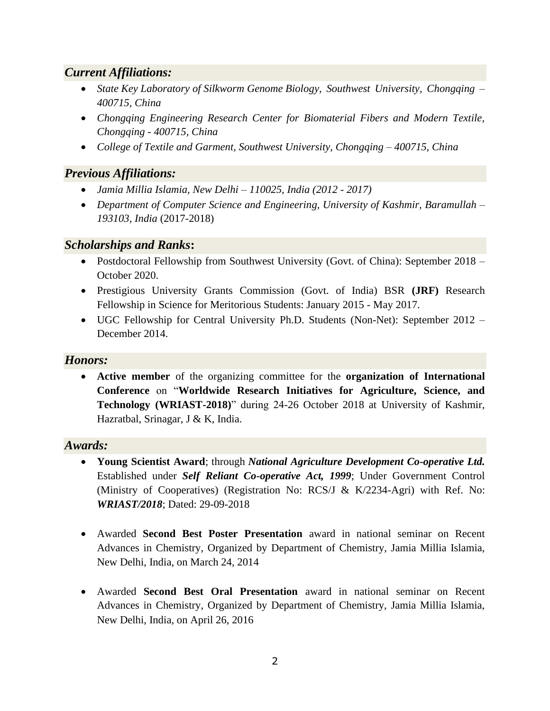# *Current Affiliations:*

- *State Key Laboratory of Silkworm Genome Biology, Southwest University, Chongqing – 400715, China*
- *Chongqing Engineering Research Center for Biomaterial Fibers and Modern Textile, Chongqing - 400715, China*
- *College of Textile and Garment, Southwest University, Chongqing – 400715, China*

# *Previous Affiliations:*

- *Jamia Millia Islamia, New Delhi – 110025, India (2012 - 2017)*
- *Department of Computer Science and Engineering, University of Kashmir, Baramullah – 193103, India* (2017-2018)

# *Scholarships and Ranks***:**

- Postdoctoral Fellowship from Southwest University (Govt. of China): September 2018 October 2020.
- Prestigious University Grants Commission (Govt. of India) BSR **(JRF)** Research Fellowship in Science for Meritorious Students: January 2015 - May 2017.
- UGC Fellowship for Central University Ph.D. Students (Non-Net): September 2012 December 2014.

# *Honors:*

• **Active member** of the organizing committee for the **organization of International Conference** on "**Worldwide Research Initiatives for Agriculture, Science, and Technology (WRIAST-2018)**" during 24-26 October 2018 at University of Kashmir, Hazratbal, Srinagar, J & K, India.

#### *Awards:*

- **Young Scientist Award**; through *National Agriculture Development Co-operative Ltd.* Established under *Self Reliant Co-operative Act, 1999*; Under Government Control (Ministry of Cooperatives) (Registration No: RCS/J & K/2234-Agri) with Ref. No: *WRIAST/2018*; Dated: 29-09-2018
- Awarded **Second Best Poster Presentation** award in national seminar on Recent Advances in Chemistry, Organized by Department of Chemistry, Jamia Millia Islamia, New Delhi, India, on March 24, 2014
- Awarded **Second Best Oral Presentation** award in national seminar on Recent Advances in Chemistry, Organized by Department of Chemistry, Jamia Millia Islamia, New Delhi, India, on April 26, 2016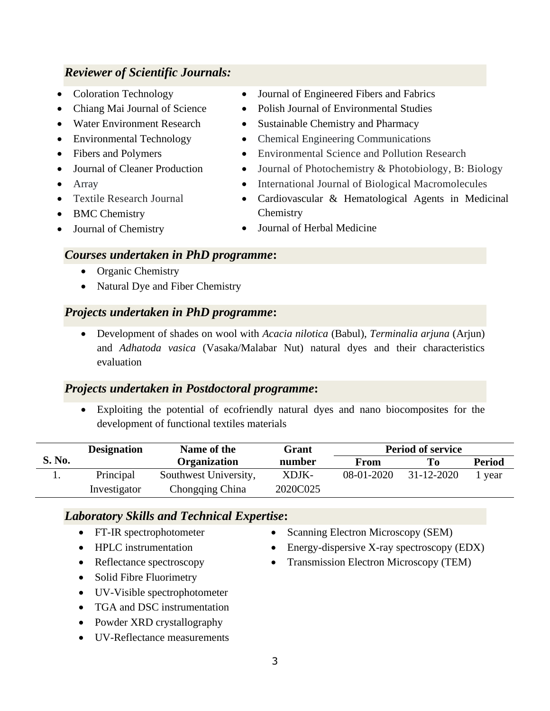# *Reviewer of Scientific Journals:*

- Coloration Technology
- Chiang Mai Journal of Science
- Water Environment Research
- Environmental Technology
- Fibers and Polymers
- Journal of Cleaner Production
- Array
- Textile Research Journal
- BMC Chemistry
- Journal of Chemistry
- Journal of Engineered Fibers and Fabrics
- Polish Journal of Environmental Studies
- Sustainable Chemistry and Pharmacy
- Chemical Engineering Communications
- Environmental Science and Pollution Research
- Journal of Photochemistry & Photobiology, B: Biology
- International Journal of Biological Macromolecules
- Cardiovascular & Hematological Agents in Medicinal **Chemistry**
- Journal of Herbal Medicine

#### *Courses undertaken in PhD programme***:**

- Organic Chemistry
- Natural Dye and Fiber Chemistry

#### *Projects undertaken in PhD programme***:**

• Development of shades on wool with *Acacia nilotica* (Babul), *Terminalia arjuna* (Arjun) and *Adhatoda vasica* (Vasaka/Malabar Nut) natural dyes and their characteristics evaluation

#### *Projects undertaken in Postdoctoral programme***:**

Exploiting the potential of ecofriendly natural dyes and nano biocomposites for the development of functional textiles materials

|               | <b>Designation</b> | Name of the           | Grant    |            | <b>Period of service</b> |               |
|---------------|--------------------|-----------------------|----------|------------|--------------------------|---------------|
| <b>S. No.</b> |                    | <b>Organization</b>   | number   | From       | T`o                      | <b>Period</b> |
|               | Principal          | Southwest University, | XDJK-    | 08-01-2020 | $31 - 12 - 2020$         | l year        |
|               | Investigator       | Chongqing China       | 2020C025 |            |                          |               |

#### *Laboratory Skills and Technical Expertise***:**

- FT-IR spectrophotometer
- HPLC instrumentation
- Reflectance spectroscopy
- Solid Fibre Fluorimetry
- UV-Visible spectrophotometer
- TGA and DSC instrumentation
- Powder XRD crystallography
- UV-Reflectance measurements
- Scanning Electron Microscopy (SEM)
- Energy-dispersive X-ray spectroscopy (EDX)
- Transmission Electron Microscopy (TEM)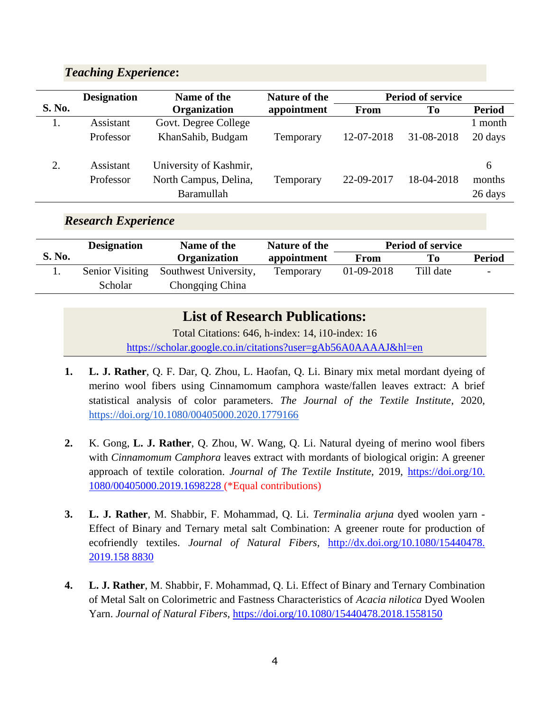# *Teaching Experience***:**

|               | <b>Designation</b> | Name of the            | <b>Nature of the</b> |             | <b>Period of service</b> |               |
|---------------|--------------------|------------------------|----------------------|-------------|--------------------------|---------------|
| <b>S. No.</b> |                    | <b>Organization</b>    | appointment          | <b>From</b> | To                       | <b>Period</b> |
|               | Assistant          | Govt. Degree College   |                      |             |                          | l month       |
|               | Professor          | KhanSahib, Budgam      | Temporary            | 12-07-2018  | 31-08-2018               | 20 days       |
| 2.            | Assistant          | University of Kashmir, |                      |             |                          | 6             |
|               | Professor          | North Campus, Delina,  | Temporary            | 22-09-2017  | 18-04-2018               | months        |
|               |                    | Baramullah             |                      |             |                          | 26 days       |

# *Research Experience*

|               | <b>Designation</b>     | Name of the           | Nature of the    |            | <b>Period of service</b> |               |
|---------------|------------------------|-----------------------|------------------|------------|--------------------------|---------------|
| <b>S. No.</b> |                        | <b>Organization</b>   | appointment      | From       | Tо                       | <b>Period</b> |
|               | <b>Senior Visiting</b> | Southwest University, | <b>Temporary</b> | 01-09-2018 | Till date                |               |
|               | <b>Scholar</b>         | Chongqing China       |                  |            |                          |               |

# **List of Research Publications:**

Total Citations: 646, h-index: 14, i10-index: 16 <https://scholar.google.co.in/citations?user=gAb56A0AAAAJ&hl=en>

- **1. L. J. Rather**, Q. F. Dar, Q. Zhou, L. Haofan, Q. Li. Binary mix metal mordant dyeing of merino wool fibers using Cinnamomum camphora waste/fallen leaves extract: A brief statistical analysis of color parameters. *The Journal of the Textile Institute*, 2020, <https://doi.org/10.1080/00405000.2020.1779166>
- **2.** K. Gong, **L. J. Rather**, Q. Zhou, W. Wang, Q. Li. Natural dyeing of merino wool fibers with *Cinnamomum Camphora* leaves extract with mordants of biological origin: A greener approach of textile coloration. *Journal of The Textile Institute,* 2019, [https://doi.org/10.](https://doi.org/10.%201080/00405000.2019.1698228)  [1080/00405000.2019.1698228](https://doi.org/10.%201080/00405000.2019.1698228) (\*Equal contributions)
- **3. L. J. Rather**, M. Shabbir, F. Mohammad, Q. Li. *Terminalia arjuna* dyed woolen yarn Effect of Binary and Ternary metal salt Combination: A greener route for production of ecofriendly textiles. *Journal of Natural Fibers,* [http://dx.doi.org/10.1080/15440478.](http://dx.doi.org/10.1080/15440478.%202019.158%208830)  [2019.158 8830](http://dx.doi.org/10.1080/15440478.%202019.158%208830)
- **4. L. J. Rather**, M. Shabbir, F. Mohammad, Q. Li. Effect of Binary and Ternary Combination of Metal Salt on Colorimetric and Fastness Characteristics of *Acacia nilotica* Dyed Woolen Yarn. *Journal of Natural Fibers,* <https://doi.org/10.1080/15440478.2018.1558150>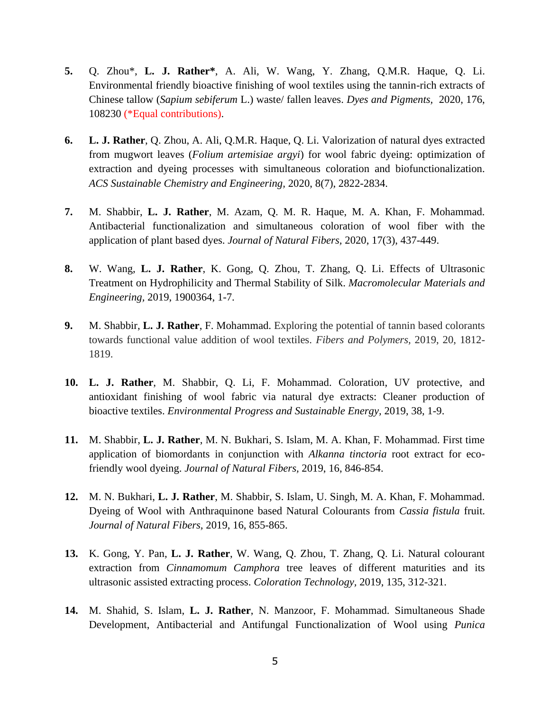- **5.** Q. Zhou\*, **L. J. Rather\***, A. Ali, W. Wang, Y. Zhang, Q.M.R. Haque, Q. Li. Environmental friendly bioactive finishing of wool textiles using the tannin-rich extracts of Chinese tallow (*Sapium sebiferum* L.) waste/ fallen leaves. *Dyes and Pigments,* 2020, 176, 108230 (\*Equal contributions).
- **6. L. J. Rather**, Q. Zhou, A. Ali, Q.M.R. Haque, Q. Li. Valorization of natural dyes extracted from mugwort leaves (*Folium artemisiae argyi*) for wool fabric dyeing: optimization of extraction and dyeing processes with simultaneous coloration and biofunctionalization. *ACS Sustainable Chemistry and Engineering,* 2020, 8(7), 2822-2834.
- **7.** M. Shabbir, **L. J. Rather**, M. Azam, Q. M. R. Haque, M. A. Khan, F. Mohammad. Antibacterial functionalization and simultaneous coloration of wool fiber with the application of plant based dyes. *Journal of Natural Fibers,* 2020, 17(3), 437-449.
- **8.** W. Wang, **L. J. Rather**, K. Gong, Q. Zhou, T. Zhang, Q. Li. Effects of Ultrasonic Treatment on Hydrophilicity and Thermal Stability of Silk. *Macromolecular Materials and Engineering,* 2019, 1900364, 1-7.
- **9.** M. Shabbir, **L. J. Rather**, F. Mohammad. Exploring the potential of tannin based colorants towards functional value addition of wool textiles. *Fibers and Polymers,* 2019, 20, 1812- 1819.
- **10. L. J. Rather**, M. Shabbir, Q. Li, F. Mohammad. Coloration, UV protective, and antioxidant finishing of wool fabric via natural dye extracts: Cleaner production of bioactive textiles. *Environmental Progress and Sustainable Energy,* 2019, 38, 1-9.
- **11.** M. Shabbir, **L. J. Rather**, M. N. Bukhari, S. Islam, M. A. Khan, F. Mohammad. First time application of biomordants in conjunction with *Alkanna tinctoria* root extract for ecofriendly wool dyeing. *Journal of Natural Fibers,* 2019, 16, 846-854.
- **12.** M. N. Bukhari, **L. J. Rather**, M. Shabbir, S. Islam, U. Singh, M. A. Khan, F. Mohammad. Dyeing of Wool with Anthraquinone based Natural Colourants from *Cassia fistula* fruit. *Journal of Natural Fibers,* 2019, 16, 855-865.
- **13.** K. Gong, Y. Pan, **L. J. Rather**, W. Wang, Q. Zhou, T. Zhang, Q. Li. Natural colourant extraction from *Cinnamomum Camphora* tree leaves of different maturities and its ultrasonic assisted extracting process. *Coloration Technology,* 2019, 135, 312-321.
- **14.** M. Shahid, S. Islam, **L. J. Rather**, N. Manzoor, F. Mohammad. Simultaneous Shade Development, Antibacterial and Antifungal Functionalization of Wool using *Punica*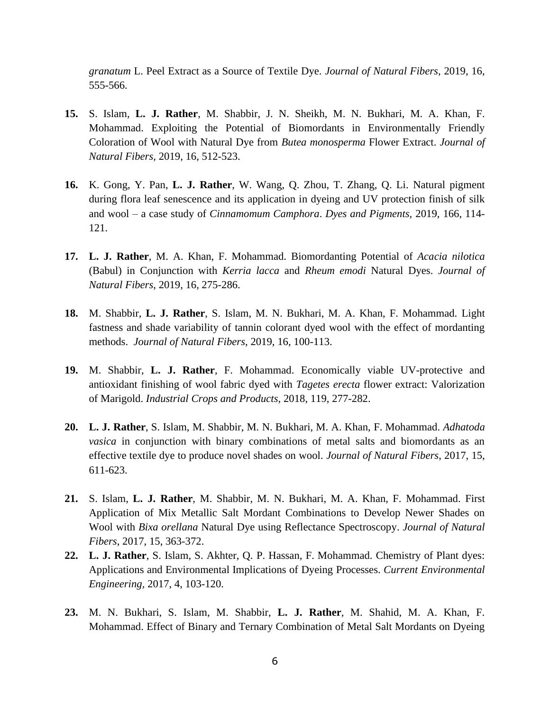*granatum* L. Peel Extract as a Source of Textile Dye. *Journal of Natural Fibers,* 2019, 16, 555-566.

- **15.** S. Islam, **L. J. Rather**, M. Shabbir, J. N. Sheikh, M. N. Bukhari, M. A. Khan, F. Mohammad. Exploiting the Potential of Biomordants in Environmentally Friendly Coloration of Wool with Natural Dye from *Butea monosperma* Flower Extract. *Journal of Natural Fibers,* 2019, 16, 512-523.
- **16.** K. Gong, Y. Pan, **L. J. Rather**, W. Wang, Q. Zhou, T. Zhang, Q. Li. Natural pigment during flora leaf senescence and its application in dyeing and UV protection finish of silk and wool – a case study of *Cinnamomum Camphora*. *Dyes and Pigments,* 2019, 166, 114- 121.
- **17. L. J. Rather**, M. A. Khan, F. Mohammad. Biomordanting Potential of *Acacia nilotica* (Babul) in Conjunction with *Kerria lacca* and *Rheum emodi* Natural Dyes. *Journal of Natural Fibers*, 2019, 16, 275-286.
- **18.** M. Shabbir, **L. J. Rather**, S. Islam, M. N. Bukhari, M. A. Khan, F. Mohammad. Light fastness and shade variability of tannin colorant dyed wool with the effect of mordanting methods. *Journal of Natural Fibers*, 2019, 16, 100-113.
- **19.** M. Shabbir, **L. J. Rather**, F. Mohammad. Economically viable UV-protective and antioxidant finishing of wool fabric dyed with *Tagetes erecta* flower extract: Valorization of Marigold. *Industrial Crops and Products,* 2018, 119, 277-282.
- **20. L. J. Rather**, S. Islam, M. Shabbir, M. N. Bukhari, M. A. Khan, F. Mohammad. *Adhatoda vasica* in conjunction with binary combinations of metal salts and biomordants as an effective textile dye to produce novel shades on wool. *Journal of Natural Fibers*, 2017, 15, 611-623.
- **21.** S. Islam, **L. J. Rather**, M. Shabbir, M. N. Bukhari, M. A. Khan, F. Mohammad. First Application of Mix Metallic Salt Mordant Combinations to Develop Newer Shades on Wool with *Bixa orellana* Natural Dye using Reflectance Spectroscopy. *Journal of Natural Fibers*, 2017, 15, 363-372.
- **22. L. J. Rather**, S. Islam, S. Akhter, Q. P. Hassan, F. Mohammad. Chemistry of Plant dyes: Applications and Environmental Implications of Dyeing Processes. *Current Environmental Engineering,* 2017, 4, 103-120.
- **23.** M. N. Bukhari, S. Islam, M. Shabbir, **L. J. Rather**, M. Shahid, M. A. Khan, F. Mohammad. Effect of Binary and Ternary Combination of Metal Salt Mordants on Dyeing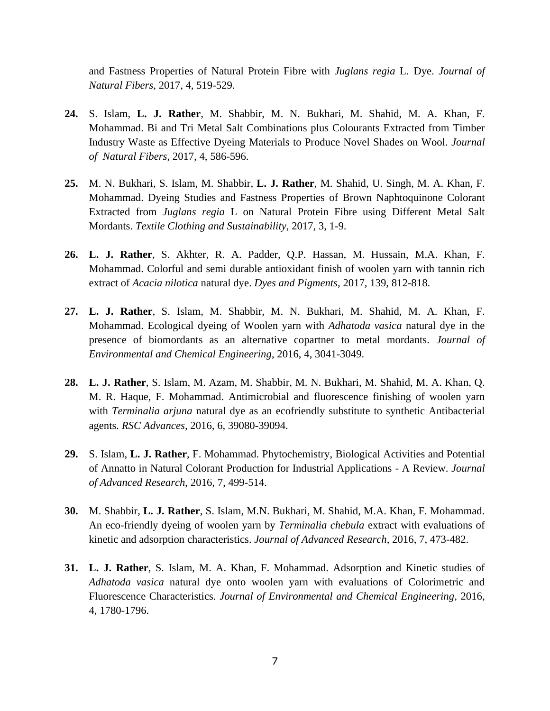and Fastness Properties of Natural Protein Fibre with *Juglans regia* L. Dye. *Journal of Natural Fibers*, 2017, 4, 519-529.

- **24.** S. Islam, **L. J. Rather**, M. Shabbir, M. N. Bukhari, M. Shahid, M. A. Khan, F. Mohammad. Bi and Tri Metal Salt Combinations plus Colourants Extracted from Timber Industry Waste as Effective Dyeing Materials to Produce Novel Shades on Wool. *Journal of Natural Fibers*, 2017, 4, 586-596.
- **25.** M. N. Bukhari, S. Islam, M. Shabbir, **L. J. Rather**, M. Shahid, U. Singh, M. A. Khan, F. Mohammad. Dyeing Studies and Fastness Properties of Brown Naphtoquinone Colorant Extracted from *Juglans regia* L on Natural Protein Fibre using Different Metal Salt Mordants. *Textile Clothing and Sustainability,* 2017, 3, 1-9.
- **26. L. J. Rather**, S. Akhter, R. A. Padder, Q.P. Hassan, M. Hussain, M.A. Khan, F. Mohammad. Colorful and semi durable antioxidant finish of woolen yarn with tannin rich extract of *Acacia nilotica* natural dye. *Dyes and Pigments,* 2017, 139, 812-818.
- **27. L. J. Rather**, S. Islam, M. Shabbir, M. N. Bukhari, M. Shahid, M. A. Khan, F. Mohammad. Ecological dyeing of Woolen yarn with *Adhatoda vasica* natural dye in the presence of biomordants as an alternative copartner to metal mordants. *Journal of Environmental and Chemical Engineering*, 2016, 4, 3041-3049.
- **28. L. J. Rather**, S. Islam, M. Azam, M. Shabbir, M. N. Bukhari, M. Shahid, M. A. Khan, Q. M. R. Haque, F. Mohammad. Antimicrobial and fluorescence finishing of woolen yarn with *Terminalia arjuna* natural dye as an ecofriendly substitute to synthetic Antibacterial agents. *RSC Advances,* 2016, 6, 39080-39094.
- **29.** S. Islam, **L. J. Rather**, F. Mohammad. Phytochemistry, Biological Activities and Potential of Annatto in Natural Colorant Production for Industrial Applications - A Review. *Journal of Advanced Research*, 2016, 7, 499-514.
- **30.** M. Shabbir, **L. J. Rather**, S. Islam, M.N. Bukhari, M. Shahid, M.A. Khan, F. Mohammad. An eco-friendly dyeing of woolen yarn by *Terminalia chebula* extract with evaluations of kinetic and adsorption characteristics. *Journal of Advanced Research,* 2016, 7, 473-482.
- **31. L. J. Rather**, S. Islam, M. A. Khan, F. Mohammad. Adsorption and Kinetic studies of *Adhatoda vasica* natural dye onto woolen yarn with evaluations of Colorimetric and Fluorescence Characteristics. *Journal of Environmental and Chemical Engineering,* 2016, 4, 1780-1796.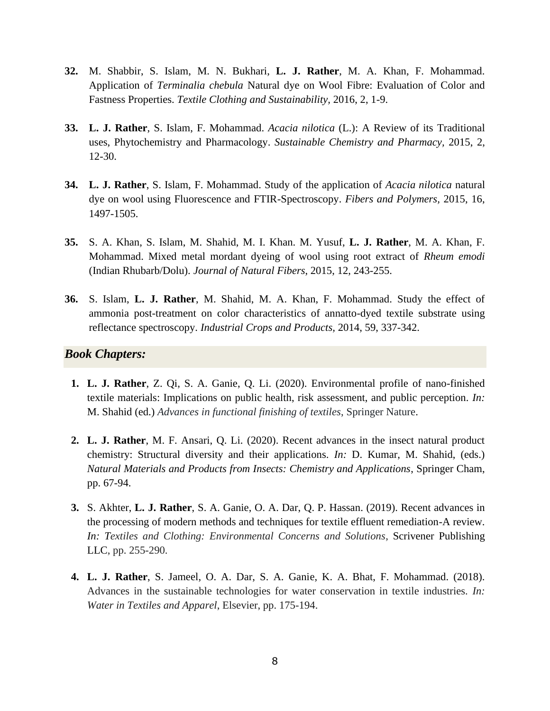- **32.** M. Shabbir, S. Islam, M. N. Bukhari, **L. J. Rather**, M. A. Khan, F. Mohammad. Application of *Terminalia chebula* Natural dye on Wool Fibre: Evaluation of Color and Fastness Properties. *Textile Clothing and Sustainability,* 2016, 2, 1-9.
- **33. L. J. Rather**, S. Islam, F. Mohammad. *Acacia nilotica* (L.): A Review of its Traditional uses, Phytochemistry and Pharmacology. *Sustainable Chemistry and Pharmacy,* 2015, 2, 12-30.
- **34. L. J. Rather**, S. Islam, F. Mohammad. Study of the application of *Acacia nilotica* natural dye on wool using Fluorescence and FTIR-Spectroscopy. *Fibers and Polymers,* 2015, 16, 1497-1505.
- **35.** S. A. Khan, S. Islam, M. Shahid, M. I. Khan. M. Yusuf, **L. J. Rather**, M. A. Khan, F. Mohammad. Mixed metal mordant dyeing of wool using root extract of *Rheum emodi* (Indian Rhubarb/Dolu). *Journal of Natural Fibers*, 2015, 12, 243-255.
- **36.** S. Islam, **L. J. Rather**, M. Shahid, M. A. Khan, F. Mohammad. Study the effect of ammonia post-treatment on color characteristics of annatto-dyed textile substrate using reflectance spectroscopy. *Industrial Crops and Products,* 2014, 59, 337-342.

#### *Book Chapters:*

- **1. L. J. Rather**, Z. Qi, S. A. Ganie, Q. Li. (2020). Environmental profile of nano-finished textile materials: Implications on public health, risk assessment, and public perception. *In:* M. Shahid (ed.) *Advances in functional finishing of textiles*, Springer Nature.
- **2. L. J. Rather**, M. F. Ansari, Q. Li. (2020). Recent advances in the insect natural product chemistry: Structural diversity and their applications. *In:* D. Kumar, M. Shahid, (eds.) *Natural Materials and Products from Insects: Chemistry and Applications*, Springer Cham, pp. 67-94.
- **3.** S. Akhter, **L. J. Rather**, S. A. Ganie, O. A. Dar, Q. P. Hassan. (2019). Recent advances in the processing of modern methods and techniques for textile effluent remediation-A review. *In: Textiles and Clothing: Environmental Concerns and Solutions*, Scrivener Publishing LLC, pp. 255-290.
- **4. L. J. Rather**, S. Jameel, O. A. Dar, S. A. Ganie, K. A. Bhat, F. Mohammad. (2018). Advances in the sustainable technologies for water conservation in textile industries. *In: Water in Textiles and Apparel*, Elsevier, pp. 175-194.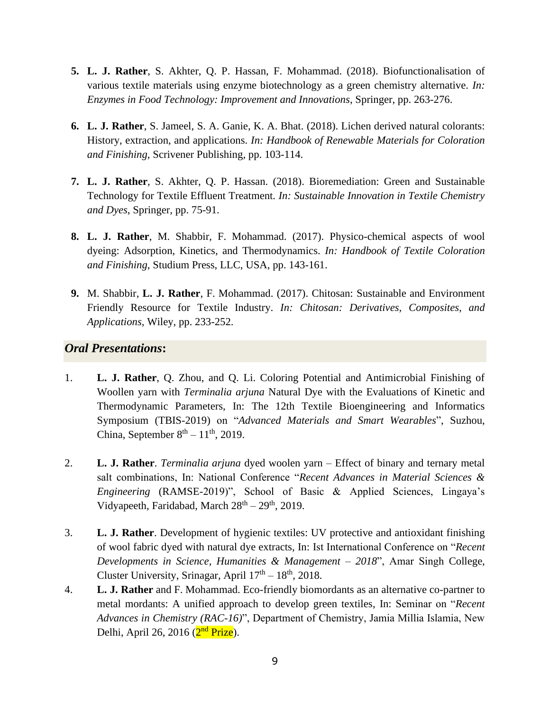- **5. L. J. Rather**, S. Akhter, Q. P. Hassan, F. Mohammad. (2018). Biofunctionalisation of various textile materials using enzyme biotechnology as a green chemistry alternative. *In: Enzymes in Food Technology: Improvement and Innovations*, Springer, pp. 263-276.
- **6. L. J. Rather**, S. Jameel, S. A. Ganie, K. A. Bhat. (2018). Lichen derived natural colorants: History, extraction, and applications. *In: Handbook of Renewable Materials for Coloration and Finishing*, Scrivener Publishing, pp. 103-114.
- **7. L. J. Rather**, S. Akhter, Q. P. Hassan. (2018). Bioremediation: Green and Sustainable Technology for Textile Effluent Treatment. *In: Sustainable Innovation in Textile Chemistry and Dyes*, Springer, pp. 75-91.
- **8. L. J. Rather**, M. Shabbir, F. Mohammad. (2017). Physico-chemical aspects of wool dyeing: Adsorption, Kinetics, and Thermodynamics. *In: Handbook of Textile Coloration and Finishing*, Studium Press, LLC, USA, pp. 143-161.
- **9.** M. Shabbir, **L. J. Rather**, F. Mohammad. (2017). Chitosan: Sustainable and Environment Friendly Resource for Textile Industry. *In: Chitosan: Derivatives, Composites, and Applications,* Wiley, pp. 233-252.

#### *Oral Presentations***:**

- 1. **L. J. Rather**, Q. Zhou, and Q. Li. Coloring Potential and Antimicrobial Finishing of Woollen yarn with *Terminalia arjuna* Natural Dye with the Evaluations of Kinetic and Thermodynamic Parameters, In: The 12th Textile Bioengineering and Informatics Symposium (TBIS-2019) on "*Advanced Materials and Smart Wearables*", Suzhou, China, September  $8<sup>th</sup> - 11<sup>th</sup>$ , 2019.
- 2. **L. J. Rather**. *Terminalia arjuna* dyed woolen yarn Effect of binary and ternary metal salt combinations, In: National Conference "*Recent Advances in Material Sciences & Engineering* (RAMSE-2019)", School of Basic & Applied Sciences, Lingaya's Vidyapeeth, Faridabad, March  $28<sup>th</sup> - 29<sup>th</sup>$ , 2019.
- 3. **L. J. Rather**. Development of hygienic textiles: UV protective and antioxidant finishing of wool fabric dyed with natural dye extracts, In: Ist International Conference on "*Recent Developments in Science, Humanities & Management – 2018*", Amar Singh College, Cluster University, Srinagar, April  $17<sup>th</sup> - 18<sup>th</sup>$ , 2018.
- 4. **L. J. Rather** and F. Mohammad. Eco-friendly biomordants as an alternative co-partner to metal mordants: A unified approach to develop green textiles, In: Seminar on "*Recent Advances in Chemistry (RAC-16)*", Department of Chemistry, Jamia Millia Islamia, New Delhi, April 26, 2016 (2<sup>nd</sup> Prize).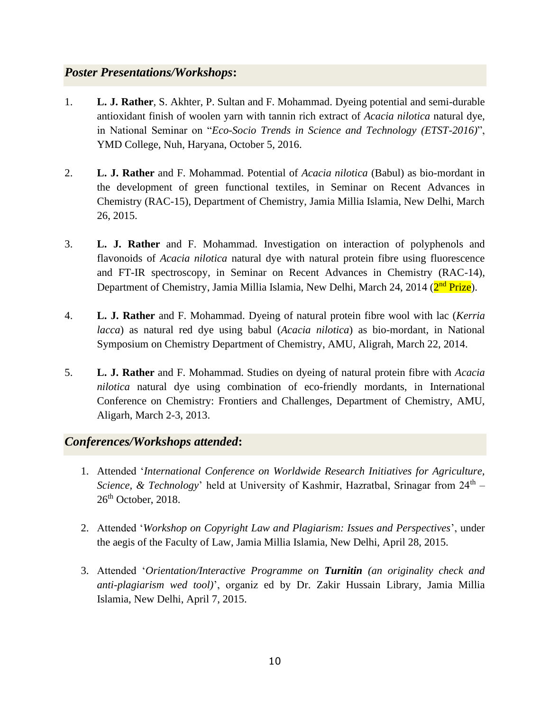# *Poster Presentations/Workshops***:**

- 1. **L. J. Rather**, S. Akhter, P. Sultan and F. Mohammad. Dyeing potential and semi-durable antioxidant finish of woolen yarn with tannin rich extract of *Acacia nilotica* natural dye, in National Seminar on "*Eco-Socio Trends in Science and Technology (ETST-2016)*", YMD College, Nuh, Haryana, October 5, 2016.
- 2. **L. J. Rather** and F. Mohammad. Potential of *Acacia nilotica* (Babul) as bio-mordant in the development of green functional textiles, in Seminar on Recent Advances in Chemistry (RAC-15), Department of Chemistry, Jamia Millia Islamia, New Delhi, March 26, 2015.
- 3. **L. J. Rather** and F. Mohammad. Investigation on interaction of polyphenols and flavonoids of *Acacia nilotica* natural dye with natural protein fibre using fluorescence and FT-IR spectroscopy, in Seminar on Recent Advances in Chemistry (RAC-14), Department of Chemistry, Jamia Millia Islamia, New Delhi, March 24, 2014 (<mark>2<sup>nd</sup> Prize</mark>).
- 4. **L. J. Rather** and F. Mohammad. Dyeing of natural protein fibre wool with lac (*Kerria lacca*) as natural red dye using babul (*Acacia nilotica*) as bio-mordant, in National Symposium on Chemistry Department of Chemistry, AMU, Aligrah, March 22, 2014.
- 5. **L. J. Rather** and F. Mohammad. Studies on dyeing of natural protein fibre with *Acacia nilotica* natural dye using combination of eco-friendly mordants, in International Conference on Chemistry: Frontiers and Challenges, Department of Chemistry, AMU, Aligarh, March 2-3, 2013.

# *Conferences/Workshops attended***:**

- 1. Attended '*International Conference on Worldwide Research Initiatives for Agriculture,*  Science, & Technology' held at University of Kashmir, Hazratbal, Srinagar from 24<sup>th</sup> - $26<sup>th</sup>$  October, 2018.
- 2. Attended '*Workshop on Copyright Law and Plagiarism: Issues and Perspectives*', under the aegis of the Faculty of Law, Jamia Millia Islamia, New Delhi, April 28, 2015.
- 3. Attended '*Orientation/Interactive Programme on Turnitin (an originality check and anti-plagiarism wed tool)*', organiz ed by Dr. Zakir Hussain Library, Jamia Millia Islamia, New Delhi, April 7, 2015.